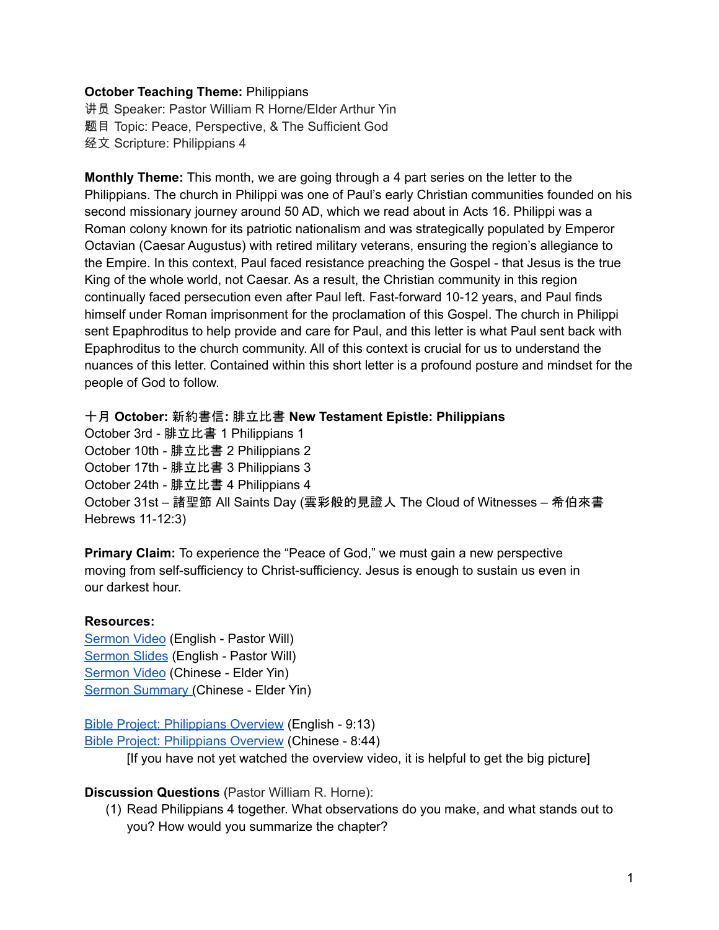## **October Teaching Theme:** Philippians

讲员 Speaker: Pastor William R Horne/Elder Arthur Yin 题目 Topic: Peace, Perspective, & The Sufficient God 经文 Scripture: Philippians 4

**Monthly Theme:** This month, we are going through a 4 part series on the letter to the Philippians. The church in Philippi was one of Paul's early Christian communities founded on his second missionary journey around 50 AD, which we read about in [A](https://ref.ly/logosref/bible$2Bniv.65.16)cts 16. Philippi was a Roman colony known for its patriotic nationalism and was strategically populated by Emperor Octavian (Caesar Augustus) with retired military veterans, ensuring the region's allegiance to the Empire. In this context, Paul faced resistance preaching the Gospel - that Jesus is the true King of the whole world, not Caesar. As a result, the Christian community in this region continually faced persecution even after Paul left. Fast-forward 10-12 years, and Paul finds himself under Roman imprisonment for the proclamation of this Gospel. The church in Philippi sent Epaphroditus to help provide and care for Paul, and this letter is what Paul sent back with Epaphroditus to the church community. All of this context is crucial for us to understand the nuances of this letter. Contained within this short letter is a profound posture and mindset for the people of God to follow.

十月 **October:** 新約書信**:** 腓立比書 **New Testament Epistle: Philippians**

October 3rd - 腓立比書 1 Philippians 1 October 10th - 腓立比書 2 Philippians 2 October 17th - 腓立比書 3 Philippians 3 October 24th - 腓立比書 4 Philippians 4 October 31st – 諸聖節 All Saints Day (雲彩般的見證人 The Cloud of Witnesses – 希伯來書 Hebrews 11-12:3)

**Primary Claim:** To experience the "Peace of God," we must gain a new perspective moving from self-sufficiency to Christ-sufficiency. Jesus is enough to sustain us even in our darkest hour.

## **Resources:**

[Sermon](https://www.youtube.com/watch?v=2ASDR9g4hbk) Video (English - Pastor Will) [Sermon](https://docs.google.com/presentation/d/1dfsGb7zruaSDQv1dOLI43Y5AHEG_ylJboPs0kUV5_5M/edit?usp=sharing) Slides (English - Pastor Will) [Sermon](https://www.youtube.com/watch?v=qs3EifpiNzo) Video (Chinese - Elder Yin) Sermon [Summary](https://docs.google.com/document/d/1b4QAsMfixV8UavtL1u4c2AFiSdDTXFHUogVvCed6zyA/edit?usp=sharing) (Chinese - Elder Yin)

Bible Project: [Philippians](https://bibleproject.com/explore/video/philippians/) Overview (English - 9:13) Bible Project: [Philippians](https://www.youtube.com/watch?v=Yjgj7Lfm6vM&list=PLE-R0uydm0uMPY7cu-kuEkcPHAM0M9Cby&index=16) Overview (Chinese - 8:44)

[If you have not yet watched the overview video, it is helpful to get the big picture]

## **Discussion Questions** (Pastor William R. Horne):

(1) Read Philippians 4 together. What observations do you make, and what stands out to you? How would you summarize the chapter?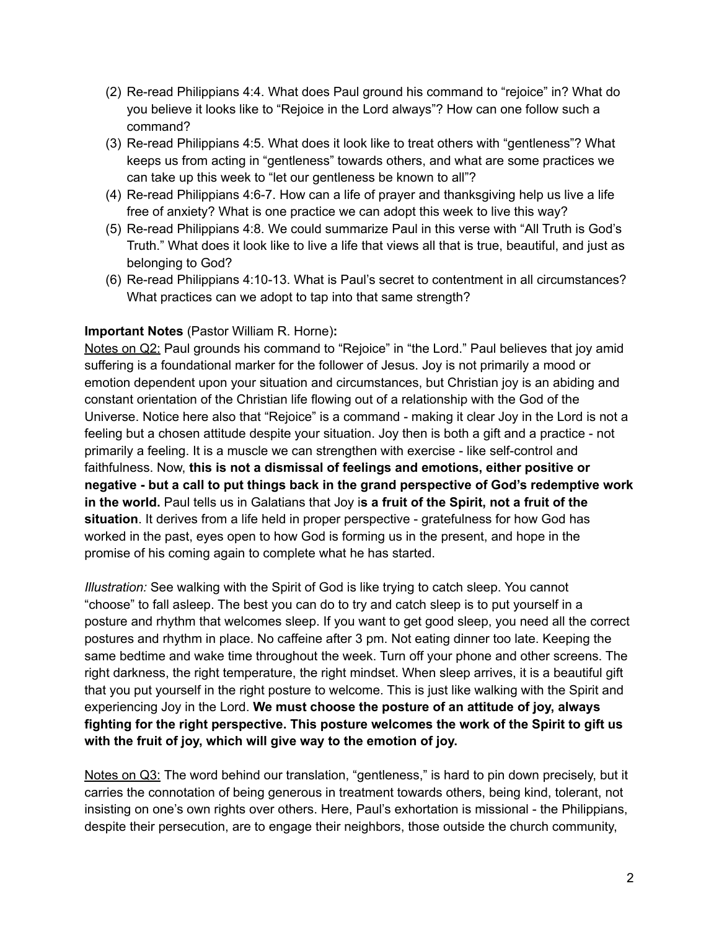- (2) Re-read Philippians 4:4. What does Paul ground his command to "rejoice" in? What do you believe it looks like to "Rejoice in the Lord always"? How can one follow such a command?
- (3) Re-read Philippians 4:5. What does it look like to treat others with "gentleness"? What keeps us from acting in "gentleness" towards others, and what are some practices we can take up this week to "let our gentleness be known to all"?
- (4) Re-read Philippians 4:6-7. How can a life of prayer and thanksgiving help us live a life free of anxiety? What is one practice we can adopt this week to live this way?
- (5) Re-read Philippians 4:8. We could summarize Paul in this verse with "All Truth is God's Truth." What does it look like to live a life that views all that is true, beautiful, and just as belonging to God?
- (6) Re-read Philippians 4:10-13. What is Paul's secret to contentment in all circumstances? What practices can we adopt to tap into that same strength?

## **Important Notes** (Pastor William R. Horne)**:**

Notes on Q2: Paul grounds his command to "Rejoice" in "the Lord." Paul believes that joy amid suffering is a foundational marker for the follower of Jesus. Joy is not primarily a mood or emotion dependent upon your situation and circumstances, but Christian joy is an abiding and constant orientation of the Christian life flowing out of a relationship with the God of the Universe. Notice here also that "Rejoice" is a command - making it clear Joy in the Lord is not a feeling but a chosen attitude despite your situation. Joy then is both a gift and a practice - not primarily a feeling. It is a muscle we can strengthen with exercise - like self-control and faithfulness. Now, **this is not a dismissal of feelings and emotions, either positive or negative - but a call to put things back in the grand perspective of God's redemptive work in the world.** Paul tells us in Galatians that Joy i**s a fruit of the Spirit, not a fruit of the situation**. It derives from a life held in proper perspective - gratefulness for how God has worked in the past, eyes open to how God is forming us in the present, and hope in the promise of his coming again to complete what he has started.

*Illustration:* See walking with the Spirit of God is like trying to catch sleep. You cannot "choose" to fall asleep. The best you can do to try and catch sleep is to put yourself in a posture and rhythm that welcomes sleep. If you want to get good sleep, you need all the correct postures and rhythm in place. No caffeine after 3 pm. Not eating dinner too late. Keeping the same bedtime and wake time throughout the week. Turn off your phone and other screens. The right darkness, the right temperature, the right mindset. When sleep arrives, it is a beautiful gift that you put yourself in the right posture to welcome. This is just like walking with the Spirit and experiencing Joy in the Lord. **We must choose the posture of an attitude of joy, always fighting for the right perspective. This posture welcomes the work of the Spirit to gift us with the fruit of joy, which will give way to the emotion of joy.**

Notes on Q3: The word behind our translation, "gentleness," is hard to pin down precisely, but it carries the connotation of being generous in treatment towards others, being kind, tolerant, not insisting on one's own rights over others. Here, Paul's exhortation is missional - the Philippians, despite their persecution, are to engage their neighbors, those outside the church community,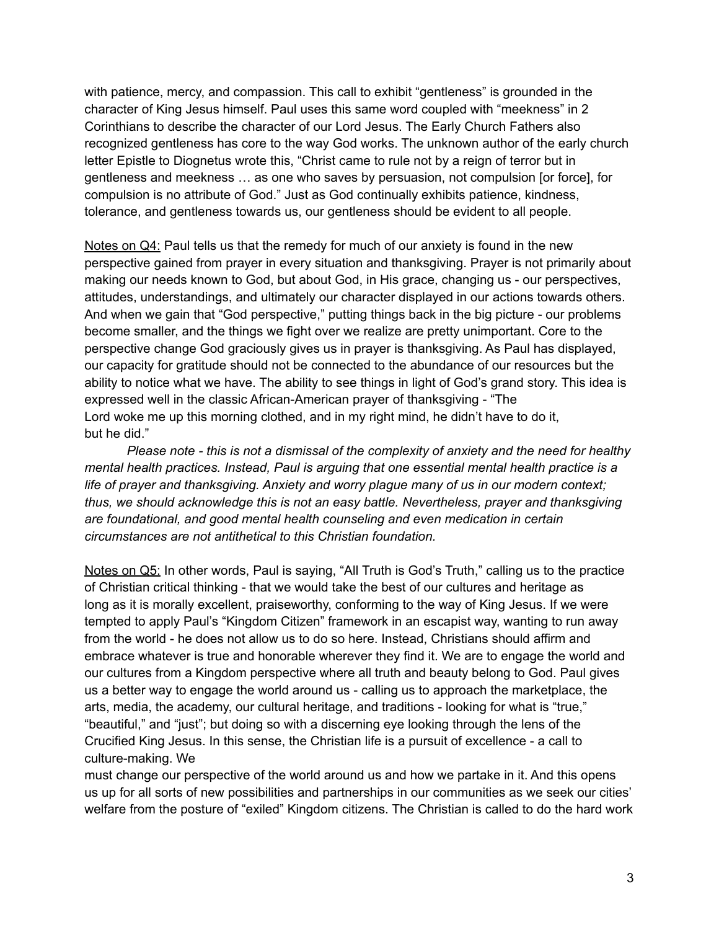with patience, mercy, and compassion. This call to exhibit "gentleness" is grounded in the character of King Jesus himself. Paul uses this same word coupled with "meekness" in 2 Corinthians to describe the character of our Lord Jesus. The Early Church Fathers also recognized gentleness has core to the way God works. The unknown author of the early church letter Epistle to Diognetus wrote this, "Christ came to rule not by a reign of terror but in gentleness and meekness … as one who saves by persuasion, not compulsion [or force], for compulsion is no attribute of God." Just as God continually exhibits patience, kindness, tolerance, and gentleness towards us, our gentleness should be evident to all people.

Notes on Q4: Paul tells us that the remedy for much of our anxiety is found in the new perspective gained from prayer in every situation and thanksgiving. Prayer is not primarily about making our needs known to God, but about God, in His grace, changing us - our perspectives, attitudes, understandings, and ultimately our character displayed in our actions towards others. And when we gain that "God perspective," putting things back in the big picture - our problems become smaller, and the things we fight over we realize are pretty unimportant. Core to the perspective change God graciously gives us in prayer is thanksgiving. As Paul has displayed, our capacity for gratitude should not be connected to the abundance of our resources but the ability to notice what we have. The ability to see things in light of God's grand story. This idea is expressed well in the classic African-American prayer of thanksgiving - "The Lord woke me up this morning clothed, and in my right mind, he didn't have to do it, but he did."

*Please note - this is not a dismissal of the complexity of anxiety and the need for healthy mental health practices. Instead, Paul is arguing that one essential mental health practice is a life of prayer and thanksgiving. Anxiety and worry plague many of us in our modern context; thus, we should acknowledge this is not an easy battle. Nevertheless, prayer and thanksgiving are foundational, and good mental health counseling and even medication in certain circumstances are not antithetical to this Christian foundation.*

Notes on Q5: In other words, Paul is saying, "All Truth is God's Truth," calling us to the practice of Christian critical thinking - that we would take the best of our cultures and heritage as long as it is morally excellent, praiseworthy, conforming to the way of King Jesus. If we were tempted to apply Paul's "Kingdom Citizen" framework in an escapist way, wanting to run away from the world - he does not allow us to do so here. Instead, Christians should affirm and embrace whatever is true and honorable wherever they find it. We are to engage the world and our cultures from a Kingdom perspective where all truth and beauty belong to God. Paul gives us a better way to engage the world around us - calling us to approach the marketplace, the arts, media, the academy, our cultural heritage, and traditions - looking for what is "true," "beautiful," and "just"; but doing so with a discerning eye looking through the lens of the Crucified King Jesus. In this sense, the Christian life is a pursuit of excellence - a call to culture-making. We

must change our perspective of the world around us and how we partake in it. And this opens us up for all sorts of new possibilities and partnerships in our communities as we seek our cities' welfare from the posture of "exiled" Kingdom citizens. The Christian is called to do the hard work